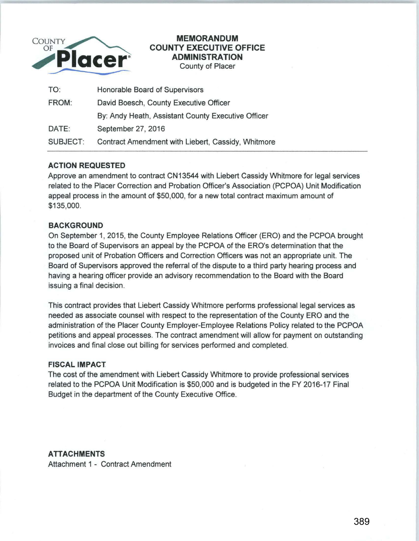

## **MEMORANDUM COUNTY EXECUTIVE OFFICE ADMINISTRATION**  County of Placer

| TO:      | Honorable Board of Supervisors                     |
|----------|----------------------------------------------------|
| FROM:    | David Boesch, County Executive Officer             |
|          | By: Andy Heath, Assistant County Executive Officer |
| DATE:    | September 27, 2016                                 |
| SUBJECT: | Contract Amendment with Liebert, Cassidy, Whitmore |

# **ACTION REQUESTED**

Approve an amendment to contract CN 13544 with Liebert Cassidy Whitmore for legal services related to the Placer Correction and Probation Officer's Association (PCPOA) Unit Modification appeal process in the amount of \$50,000, for a new total contract maximum amount of \$135,000.

## **BACKGROUND**

On September 1, 2015, the County Employee Relations Officer (ERO) and the PCPOA brought to the Board of Supervisors an appeal by the PCPOA of the ERO's determination that the proposed unit of Probation Officers and Correction Officers was not an appropriate unit. The Board of Supervisors approved the referral of the dispute to a third party hearing process and having a hearing officer provide an advisory recommendation to the Board with the Board issuing a final decision.

This contract provides that Liebert Cassidy Whitmore performs professional legal services as needed as associate counsel with respect to the representation of the County ERO and the administration of the Placer County Employer-Employee Relations Policy related to the PCPOA petitions and appeal processes. The contract amendment will allow for payment on outstanding invoices and final close out billing for services performed and completed.

#### **FISCAL IMPACT**

The cost of the amendment with Liebert Cassidy Whitmore to provide professional services related to the PCPOA Unit Modification is \$50,000 and is budgeted in the FY 2016-17 Final Budget in the department of the County Executive Office.

## **ATTACHMENTS**

Attachment 1 - Contract Amendment